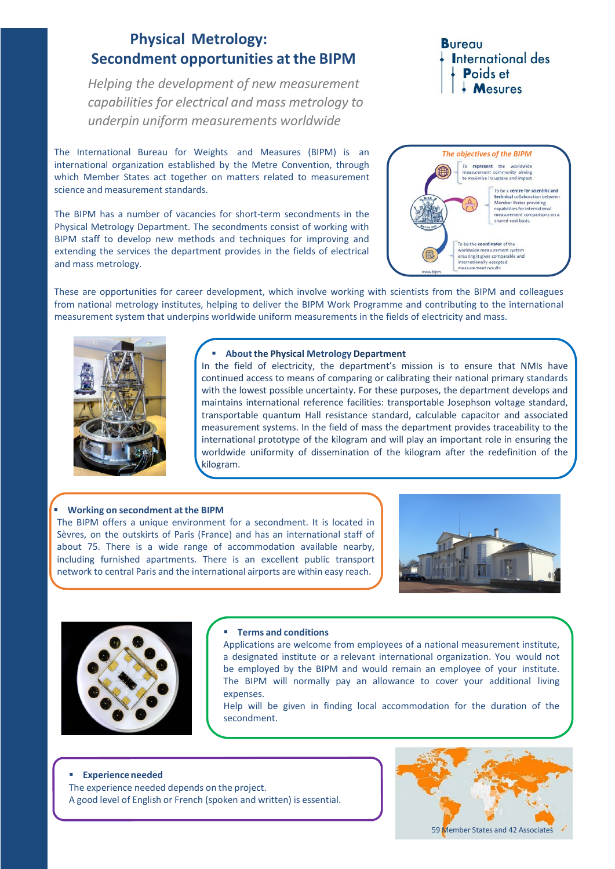# **Physical Metrology: Secondment opportunities at the BIPM**

*Helping the development of new measurement capabilities for electrical and mass metrology to underpin uniform measurements worldwide*

The International Bureau for Weights and Measures (BIPM) is an international organization established by the Metre Convention, through which Member States act together on matters related to measurement science and measurement standards.

The BIPM has a number of vacancies for short-term secondments in the Physical Metrology Department. The secondments consist of working with BIPM staff to develop new methods and techniques for improving and extending the services the department provides in the fields of electrical and mass metrology.

## **Bureau International des** Poids et  $\frac{1}{2}$  Mesures



These are opportunities for career development, which involve working with scientists from the BIPM and colleagues from national metrology institutes, helping to deliver the BIPM Work Programme and contributing to the international measurement system that underpins worldwide uniform measurements in the fields of electricity and mass.



#### **About the Physical Metrology Department**

In the field of electricity, the department's mission is to ensure that NMIs have continued access to means of comparing or calibrating their national primary standards with the lowest possible uncertainty. For these purposes, the department develops and maintains international reference facilities: transportable Josephson voltage standard, transportable quantum Hall resistance standard, calculable capacitor and associated measurement systems. In the field of mass the department provides traceability to the international prototype of the kilogram and will play an important role in ensuring the worldwide uniformity of dissemination of the kilogram after the redefinition of the kilogram.

#### **Working on secondment at the BIPM**

The BIPM offers a unique environment for a secondment. It is located in Sèvres, on the outskirts of Paris (France) and has an international staff of about 75. There is a wide range of accommodation available nearby, including furnished apartments. There is an excellent public transport network to central Paris and the international airports are within easy reach.





#### **Terms and conditions**

Applications are welcome from employees of a national measurement institute, a designated institute or a relevant international organization. You would not be employed by the BIPM and would remain an employee of your institute. The BIPM will normally pay an allowance to cover your additional living expenses.

Help will be given in finding local accommodation for the duration of the secondment.

#### **Experience needed**

The experience needed depends on the project. A good level of English or French (spoken and written) is essential.